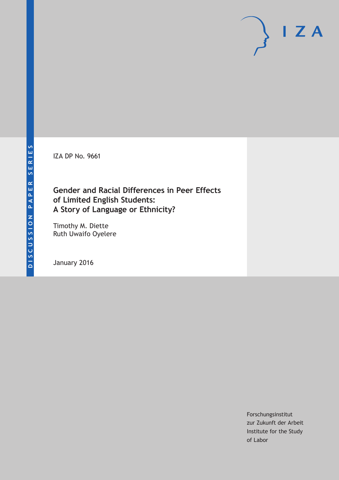IZA DP No. 9661

# **Gender and Racial Differences in Peer Effects of Limited English Students: A Story of Language or Ethnicity?**

Timothy M. Diette Ruth Uwaifo Oyelere

January 2016

Forschungsinstitut zur Zukunft der Arbeit Institute for the Study of Labor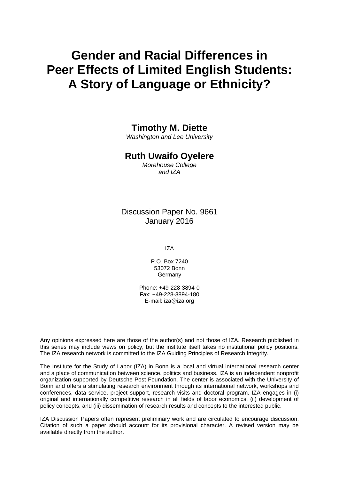# **Gender and Racial Differences in Peer Effects of Limited English Students: A Story of Language or Ethnicity?**

### **Timothy M. Diette**

*Washington and Lee University* 

### **Ruth Uwaifo Oyelere**

*Morehouse College and IZA* 

Discussion Paper No. 9661 January 2016

IZA

P.O. Box 7240 53072 Bonn Germany

Phone: +49-228-3894-0 Fax: +49-228-3894-180 E-mail: iza@iza.org

Any opinions expressed here are those of the author(s) and not those of IZA. Research published in this series may include views on policy, but the institute itself takes no institutional policy positions. The IZA research network is committed to the IZA Guiding Principles of Research Integrity.

The Institute for the Study of Labor (IZA) in Bonn is a local and virtual international research center and a place of communication between science, politics and business. IZA is an independent nonprofit organization supported by Deutsche Post Foundation. The center is associated with the University of Bonn and offers a stimulating research environment through its international network, workshops and conferences, data service, project support, research visits and doctoral program. IZA engages in (i) original and internationally competitive research in all fields of labor economics, (ii) development of policy concepts, and (iii) dissemination of research results and concepts to the interested public.

IZA Discussion Papers often represent preliminary work and are circulated to encourage discussion. Citation of such a paper should account for its provisional character. A revised version may be available directly from the author.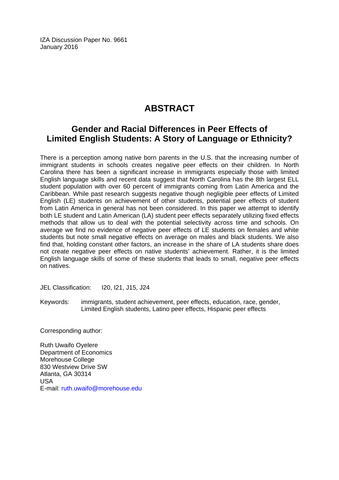IZA Discussion Paper No. 9661 January 2016

# **ABSTRACT**

# **Gender and Racial Differences in Peer Effects of Limited English Students: A Story of Language or Ethnicity?**

There is a perception among native born parents in the U.S. that the increasing number of immigrant students in schools creates negative peer effects on their children. In North Carolina there has been a significant increase in immigrants especially those with limited English language skills and recent data suggest that North Carolina has the 8th largest ELL student population with over 60 percent of immigrants coming from Latin America and the Caribbean. While past research suggests negative though negligible peer effects of Limited English (LE) students on achievement of other students, potential peer effects of student from Latin America in general has not been considered. In this paper we attempt to identify both LE student and Latin American (LA) student peer effects separately utilizing fixed effects methods that allow us to deal with the potential selectivity across time and schools. On average we find no evidence of negative peer effects of LE students on females and white students but note small negative effects on average on males and black students. We also find that, holding constant other factors, an increase in the share of LA students share does not create negative peer effects on native students' achievement. Rather, it is the limited English language skills of some of these students that leads to small, negative peer effects on natives.

JEL Classification: I20, I21, J15, J24

Keywords: immigrants, student achievement, peer effects, education, race, gender, Limited English students, Latino peer effects, Hispanic peer effects

Corresponding author:

Ruth Uwaifo Oyelere Department of Economics Morehouse College 830 Westview Drive SW Atlanta, GA 30314 USA E-mail: ruth.uwaifo@morehouse.edu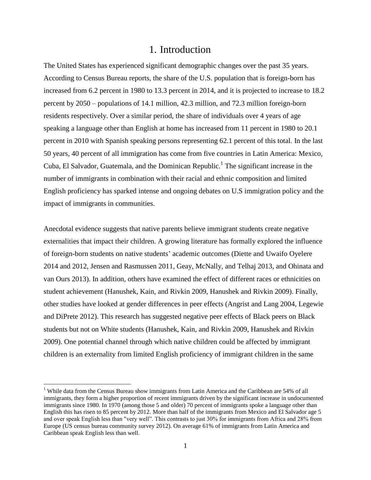### 1. Introduction

The United States has experienced significant demographic changes over the past 35 years. According to Census Bureau reports, the share of the U.S. population that is foreign-born has increased from 6.2 percent in 1980 to 13.3 percent in 2014, and it is projected to increase to 18.2 percent by 2050 – populations of 14.1 million, 42.3 million, and 72.3 million foreign-born residents respectively. Over a similar period, the share of individuals over 4 years of age speaking a language other than English at home has increased from 11 percent in 1980 to 20.1 percent in 2010 with Spanish speaking persons representing 62.1 percent of this total. In the last 50 years, 40 percent of all immigration has come from five countries in Latin America: Mexico, Cuba, El Salvador, Guatemala, and the Dominican Republic.<sup>1</sup> The significant increase in the number of immigrants in combination with their racial and ethnic composition and limited English proficiency has sparked intense and ongoing debates on U.S immigration policy and the impact of immigrants in communities.

Anecdotal evidence suggests that native parents believe immigrant students create negative externalities that impact their children. A growing literature has formally explored the influence of foreign-born students on native students' academic outcomes (Diette and Uwaifo Oyelere 2014 and 2012, Jensen and Rasmussen 2011, Geay, McNally, and Telhaj 2013, and Ohinata and van Ours 2013). In addition, others have examined the effect of different races or ethnicities on student achievement (Hanushek, Kain, and Rivkin 2009, Hanushek and Rivkin 2009). Finally, other studies have looked at gender differences in peer effects (Angrist and Lang 2004, Legewie and DiPrete 2012). This research has suggested negative peer effects of Black peers on Black students but not on White students (Hanushek, Kain, and Rivkin 2009, Hanushek and Rivkin 2009). One potential channel through which native children could be affected by immigrant children is an externality from limited English proficiency of immigrant children in the same

<sup>&</sup>lt;sup>1</sup> While data from the Census Bureau show immigrants from Latin America and the Caribbean are 54% of all immigrants, they form a higher proportion of recent immigrants driven by the significant increase in undocumented immigrants since 1980. In 1970 (among those 5 and older) 70 percent of immigrants spoke a language other than English this has risen to 85 percent by 2012. More than half of the immigrants from Mexico and El Salvador age 5 and over speak English less than "very well". This contrasts to just 30% for immigrants from Africa and 28% from Europe (US census bureau community survey 2012). On average 61% of immigrants from Latin America and Caribbean speak English less than well.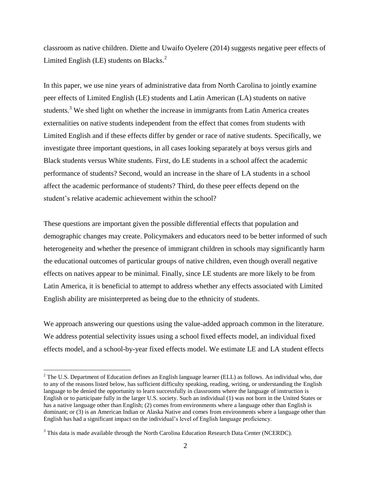classroom as native children. Diette and Uwaifo Oyelere (2014) suggests negative peer effects of Limited English (LE) students on Blacks. $<sup>2</sup>$ </sup>

In this paper, we use nine years of administrative data from North Carolina to jointly examine peer effects of Limited English (LE) students and Latin American (LA) students on native students.<sup>3</sup> We shed light on whether the increase in immigrants from Latin America creates externalities on native students independent from the effect that comes from students with Limited English and if these effects differ by gender or race of native students. Specifically, we investigate three important questions, in all cases looking separately at boys versus girls and Black students versus White students. First, do LE students in a school affect the academic performance of students? Second, would an increase in the share of LA students in a school affect the academic performance of students? Third, do these peer effects depend on the student's relative academic achievement within the school?

These questions are important given the possible differential effects that population and demographic changes may create. Policymakers and educators need to be better informed of such heterogeneity and whether the presence of immigrant children in schools may significantly harm the educational outcomes of particular groups of native children, even though overall negative effects on natives appear to be minimal. Finally, since LE students are more likely to be from Latin America, it is beneficial to attempt to address whether any effects associated with Limited English ability are misinterpreted as being due to the ethnicity of students.

We approach answering our questions using the value-added approach common in the literature. We address potential selectivity issues using a school fixed effects model, an individual fixed effects model, and a school-by-year fixed effects model. We estimate LE and LA student effects

<sup>&</sup>lt;sup>2</sup> The U.S. Department of Education defines an English language learner (ELL) as follows. An individual who, due to any of the reasons listed below, has sufficient difficulty speaking, reading, writing, or understanding the English language to be denied the opportunity to learn successfully in classrooms where the language of instruction is English or to participate fully in the larger U.S. society. Such an individual (1) was not born in the United States or has a native language other than English; (2) comes from environments where a language other than English is dominant; or (3) is an American Indian or Alaska Native and comes from environments where a language other than English has had a significant impact on the individual's level of English language proficiency.

<sup>&</sup>lt;sup>3</sup> This data is made available through the North Carolina Education Research Data Center (NCERDC).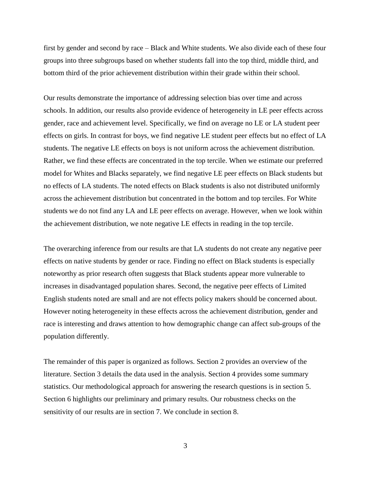first by gender and second by race – Black and White students. We also divide each of these four groups into three subgroups based on whether students fall into the top third, middle third, and bottom third of the prior achievement distribution within their grade within their school.

Our results demonstrate the importance of addressing selection bias over time and across schools. In addition, our results also provide evidence of heterogeneity in LE peer effects across gender, race and achievement level. Specifically, we find on average no LE or LA student peer effects on girls. In contrast for boys, we find negative LE student peer effects but no effect of LA students. The negative LE effects on boys is not uniform across the achievement distribution. Rather, we find these effects are concentrated in the top tercile. When we estimate our preferred model for Whites and Blacks separately, we find negative LE peer effects on Black students but no effects of LA students. The noted effects on Black students is also not distributed uniformly across the achievement distribution but concentrated in the bottom and top terciles. For White students we do not find any LA and LE peer effects on average. However, when we look within the achievement distribution, we note negative LE effects in reading in the top tercile.

The overarching inference from our results are that LA students do not create any negative peer effects on native students by gender or race. Finding no effect on Black students is especially noteworthy as prior research often suggests that Black students appear more vulnerable to increases in disadvantaged population shares. Second, the negative peer effects of Limited English students noted are small and are not effects policy makers should be concerned about. However noting heterogeneity in these effects across the achievement distribution, gender and race is interesting and draws attention to how demographic change can affect sub-groups of the population differently.

The remainder of this paper is organized as follows. Section 2 provides an overview of the literature. Section 3 details the data used in the analysis. Section 4 provides some summary statistics. Our methodological approach for answering the research questions is in section 5. Section 6 highlights our preliminary and primary results. Our robustness checks on the sensitivity of our results are in section 7. We conclude in section 8.

3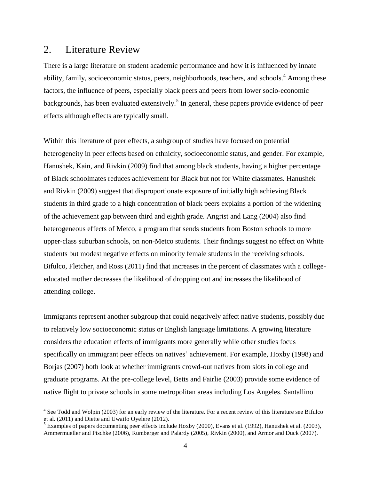### 2. Literature Review

 $\overline{a}$ 

There is a large literature on student academic performance and how it is influenced by innate ability, family, socioeconomic status, peers, neighborhoods, teachers, and schools.<sup>4</sup> Among these factors, the influence of peers, especially black peers and peers from lower socio-economic backgrounds, has been evaluated extensively.<sup>5</sup> In general, these papers provide evidence of peer effects although effects are typically small.

Within this literature of peer effects, a subgroup of studies have focused on potential heterogeneity in peer effects based on ethnicity, socioeconomic status, and gender. For example, Hanushek, Kain, and Rivkin (2009) find that among black students, having a higher percentage of Black schoolmates reduces achievement for Black but not for White classmates. Hanushek and Rivkin (2009) suggest that disproportionate exposure of initially high achieving Black students in third grade to a high concentration of black peers explains a portion of the widening of the achievement gap between third and eighth grade. Angrist and Lang (2004) also find heterogeneous effects of Metco, a program that sends students from Boston schools to more upper-class suburban schools, on non-Metco students. Their findings suggest no effect on White students but modest negative effects on minority female students in the receiving schools. Bifulco, Fletcher, and Ross (2011) find that increases in the percent of classmates with a collegeeducated mother decreases the likelihood of dropping out and increases the likelihood of attending college.

Immigrants represent another subgroup that could negatively affect native students, possibly due to relatively low socioeconomic status or English language limitations. A growing literature considers the education effects of immigrants more generally while other studies focus specifically on immigrant peer effects on natives' achievement. For example, Hoxby (1998) and Borjas (2007) both look at whether immigrants crowd-out natives from slots in college and graduate programs. At the pre-college level, Betts and Fairlie (2003) provide some evidence of native flight to private schools in some metropolitan areas including Los Angeles. Santallino

 $4$  See Todd and Wolpin (2003) for an early review of the literature. For a recent review of this literature see Bifulco et al. (2011) and Diette and Uwaifo Oyelere (2012).

 $<sup>5</sup>$  Examples of papers documenting peer effects include Hoxby (2000), Evans et al. (1992), Hanushek et al. (2003),</sup> Ammermueller and Pischke (2006), Rumberger and Palardy (2005), Rivkin (2000), and Armor and Duck (2007).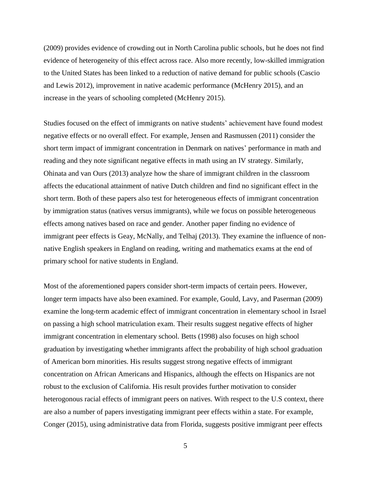(2009) provides evidence of crowding out in North Carolina public schools, but he does not find evidence of heterogeneity of this effect across race. Also more recently, low-skilled immigration to the United States has been linked to a reduction of native demand for public schools (Cascio and Lewis 2012), improvement in native academic performance (McHenry 2015), and an increase in the years of schooling completed (McHenry 2015).

Studies focused on the effect of immigrants on native students' achievement have found modest negative effects or no overall effect. For example, Jensen and Rasmussen (2011) consider the short term impact of immigrant concentration in Denmark on natives' performance in math and reading and they note significant negative effects in math using an IV strategy. Similarly, Ohinata and van Ours (2013) analyze how the share of immigrant children in the classroom affects the educational attainment of native Dutch children and find no significant effect in the short term. Both of these papers also test for heterogeneous effects of immigrant concentration by immigration status (natives versus immigrants), while we focus on possible heterogeneous effects among natives based on race and gender. Another paper finding no evidence of immigrant peer effects is Geay, McNally, and Telhaj (2013). They examine the influence of nonnative English speakers in England on reading, writing and mathematics exams at the end of primary school for native students in England.

Most of the aforementioned papers consider short-term impacts of certain peers. However, longer term impacts have also been examined. For example, Gould, Lavy, and Paserman (2009) examine the long-term academic effect of immigrant concentration in elementary school in Israel on passing a high school matriculation exam. Their results suggest negative effects of higher immigrant concentration in elementary school. Betts (1998) also focuses on high school graduation by investigating whether immigrants affect the probability of high school graduation of American born minorities. His results suggest strong negative effects of immigrant concentration on African Americans and Hispanics, although the effects on Hispanics are not robust to the exclusion of California. His result provides further motivation to consider heterogonous racial effects of immigrant peers on natives. With respect to the U.S context, there are also a number of papers investigating immigrant peer effects within a state. For example, Conger (2015), using administrative data from Florida, suggests positive immigrant peer effects

<sup>5</sup>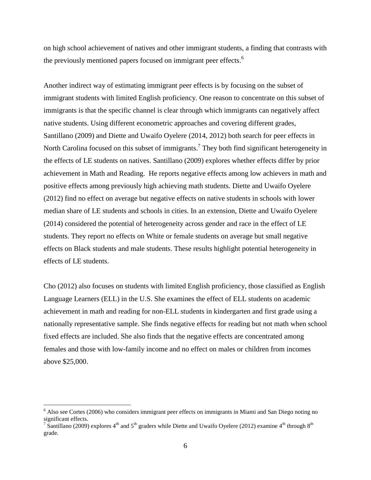on high school achievement of natives and other immigrant students, a finding that contrasts with the previously mentioned papers focused on immigrant peer effects.<sup>6</sup>

Another indirect way of estimating immigrant peer effects is by focusing on the subset of immigrant students with limited English proficiency. One reason to concentrate on this subset of immigrants is that the specific channel is clear through which immigrants can negatively affect native students. Using different econometric approaches and covering different grades, Santillano (2009) and Diette and Uwaifo Oyelere (2014, 2012) both search for peer effects in North Carolina focused on this subset of immigrants.<sup>7</sup> They both find significant heterogeneity in the effects of LE students on natives. Santillano (2009) explores whether effects differ by prior achievement in Math and Reading. He reports negative effects among low achievers in math and positive effects among previously high achieving math students. Diette and Uwaifo Oyelere (2012) find no effect on average but negative effects on native students in schools with lower median share of LE students and schools in cities. In an extension, Diette and Uwaifo Oyelere (2014) considered the potential of heterogeneity across gender and race in the effect of LE students. They report no effects on White or female students on average but small negative effects on Black students and male students. These results highlight potential heterogeneity in effects of LE students.

Cho (2012) also focuses on students with limited English proficiency, those classified as English Language Learners (ELL) in the U.S. She examines the effect of ELL students on academic achievement in math and reading for non-ELL students in kindergarten and first grade using a nationally representative sample. She finds negative effects for reading but not math when school fixed effects are included. She also finds that the negative effects are concentrated among females and those with low-family income and no effect on males or children from incomes above \$25,000.

<sup>&</sup>lt;sup>6</sup> Also see Cortes (2006) who considers immigrant peer effects on immigrants in Miami and San Diego noting no significant effects.<br><sup>7</sup> Santillano (2009) explores 4<sup>th</sup> and 5<sup>th</sup> graders while Diette and Uwaifo Oyelere (2012) examine 4<sup>th</sup> through 8<sup>th</sup>

grade.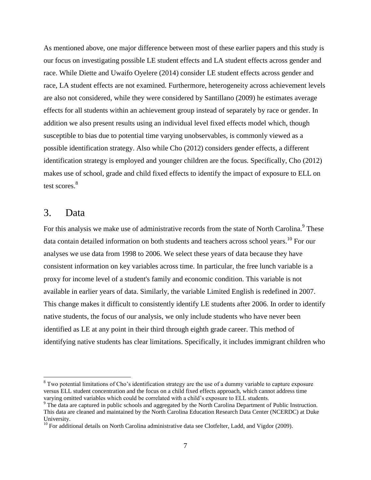As mentioned above, one major difference between most of these earlier papers and this study is our focus on investigating possible LE student effects and LA student effects across gender and race. While Diette and Uwaifo Oyelere (2014) consider LE student effects across gender and race, LA student effects are not examined. Furthermore, heterogeneity across achievement levels are also not considered, while they were considered by Santillano (2009) he estimates average effects for all students within an achievement group instead of separately by race or gender. In addition we also present results using an individual level fixed effects model which, though susceptible to bias due to potential time varying unobservables, is commonly viewed as a possible identification strategy. Also while Cho (2012) considers gender effects, a different identification strategy is employed and younger children are the focus. Specifically, Cho (2012) makes use of school, grade and child fixed effects to identify the impact of exposure to ELL on test scores.<sup>8</sup>

### 3. Data

 $\overline{a}$ 

For this analysis we make use of administrative records from the state of North Carolina.<sup>9</sup> These data contain detailed information on both students and teachers across school years.<sup>10</sup> For our analyses we use data from 1998 to 2006. We select these years of data because they have consistent information on key variables across time. In particular, the free lunch variable is a proxy for income level of a student's family and economic condition. This variable is not available in earlier years of data. Similarly, the variable Limited English is redefined in 2007. This change makes it difficult to consistently identify LE students after 2006. In order to identify native students, the focus of our analysis, we only include students who have never been identified as LE at any point in their third through eighth grade career. This method of identifying native students has clear limitations. Specifically, it includes immigrant children who

<sup>&</sup>lt;sup>8</sup> Two potential limitations of Cho's identification strategy are the use of a dummy variable to capture exposure versus ELL student concentration and the focus on a child fixed effects approach, which cannot address time varying omitted variables which could be correlated with a child's exposure to ELL students.

<sup>&</sup>lt;sup>9</sup> The data are captured in public schools and aggregated by the North Carolina Department of Public Instruction. This data are cleaned and maintained by the North Carolina Education Research Data Center (NCERDC) at Duke University.

<sup>&</sup>lt;sup>10</sup> For additional details on North Carolina administrative data see Clotfelter, Ladd, and Vigdor (2009).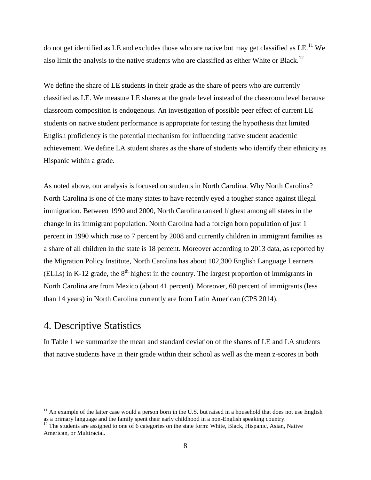do not get identified as LE and excludes those who are native but may get classified as LE.<sup>11</sup> We also limit the analysis to the native students who are classified as either White or Black.<sup>12</sup>

We define the share of LE students in their grade as the share of peers who are currently classified as LE. We measure LE shares at the grade level instead of the classroom level because classroom composition is endogenous. An investigation of possible peer effect of current LE students on native student performance is appropriate for testing the hypothesis that limited English proficiency is the potential mechanism for influencing native student academic achievement. We define LA student shares as the share of students who identify their ethnicity as Hispanic within a grade.

As noted above, our analysis is focused on students in North Carolina. Why North Carolina? North Carolina is one of the many states to have recently eyed a tougher stance against illegal immigration. Between 1990 and 2000, North Carolina ranked highest among all states in the change in its immigrant population. North Carolina had a foreign born population of just 1 percent in 1990 which rose to 7 percent by 2008 and currently children in immigrant families as a share of all children in the state is 18 percent. Moreover according to 2013 data, as reported by the Migration Policy Institute, North Carolina has about 102,300 English Language Learners (ELLs) in K-12 grade, the  $8<sup>th</sup>$  highest in the country. The largest proportion of immigrants in North Carolina are from Mexico (about 41 percent). Moreover, 60 percent of immigrants (less than 14 years) in North Carolina currently are from Latin American (CPS 2014).

# 4. Descriptive Statistics

 $\overline{a}$ 

In Table 1 we summarize the mean and standard deviation of the shares of LE and LA students that native students have in their grade within their school as well as the mean z-scores in both

 $11$  An example of the latter case would a person born in the U.S. but raised in a household that does not use English as a primary language and the family spent their early childhood in a non-English speaking country.

 $12$  The students are assigned to one of 6 categories on the state form: White, Black, Hispanic, Asian, Native American, or Multiracial.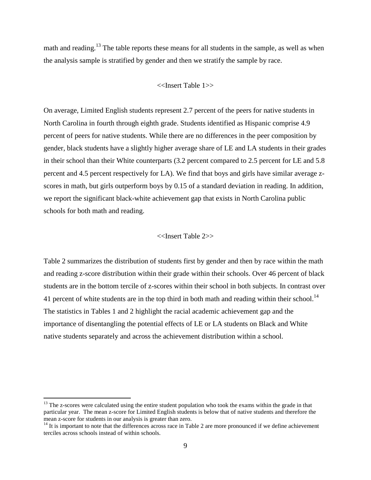math and reading.<sup>13</sup> The table reports these means for all students in the sample, as well as when the analysis sample is stratified by gender and then we stratify the sample by race.

#### <<Insert Table 1>>

On average, Limited English students represent 2.7 percent of the peers for native students in North Carolina in fourth through eighth grade. Students identified as Hispanic comprise 4.9 percent of peers for native students. While there are no differences in the peer composition by gender, black students have a slightly higher average share of LE and LA students in their grades in their school than their White counterparts (3.2 percent compared to 2.5 percent for LE and 5.8 percent and 4.5 percent respectively for LA). We find that boys and girls have similar average zscores in math, but girls outperform boys by 0.15 of a standard deviation in reading. In addition, we report the significant black-white achievement gap that exists in North Carolina public schools for both math and reading.

#### <<Insert Table 2>>

Table 2 summarizes the distribution of students first by gender and then by race within the math and reading z-score distribution within their grade within their schools. Over 46 percent of black students are in the bottom tercile of z-scores within their school in both subjects. In contrast over 41 percent of white students are in the top third in both math and reading within their school.<sup>14</sup> The statistics in Tables 1 and 2 highlight the racial academic achievement gap and the importance of disentangling the potential effects of LE or LA students on Black and White native students separately and across the achievement distribution within a school.

 $13$  The z-scores were calculated using the entire student population who took the exams within the grade in that particular year. The mean z-score for Limited English students is below that of native students and therefore the mean z-score for students in our analysis is greater than zero.

 $14$  It is important to note that the differences across race in Table 2 are more pronounced if we define achievement terciles across schools instead of within schools.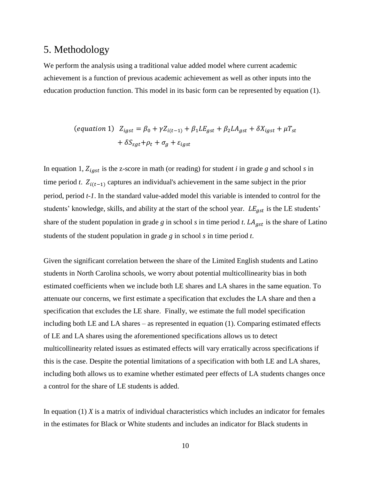### 5. Methodology

We perform the analysis using a traditional value added model where current academic achievement is a function of previous academic achievement as well as other inputs into the education production function. This model in its basic form can be represented by equation (1).

$$
(equation 1) \ \ Z_{igst} = \beta_0 + \gamma Z_{i(t-1)} + \beta_1 L E_{gst} + \beta_2 L A_{gst} + \delta X_{igst} + \mu T_{st}
$$

$$
+ \delta S_{sgt} + \rho_t + \sigma_g + \varepsilon_{igst}
$$

In equation 1,  $Z_{igst}$  is the z-score in math (or reading) for student *i* in grade *g* and school *s* in time period *t*.  $Z_{i(t-1)}$  captures an individual's achievement in the same subject in the prior period, period *t-1*. In the standard value-added model this variable is intended to control for the students' knowledge, skills, and ability at the start of the school year.  $LE_{ast}$  is the LE students' share of the student population in grade *g* in school *s* in time period *t*.  $LA_{ast}$  is the share of Latino students of the student population in grade *g* in school *s* in time period *t*.

Given the significant correlation between the share of the Limited English students and Latino students in North Carolina schools, we worry about potential multicollinearity bias in both estimated coefficients when we include both LE shares and LA shares in the same equation. To attenuate our concerns, we first estimate a specification that excludes the LA share and then a specification that excludes the LE share. Finally, we estimate the full model specification including both LE and LA shares – as represented in equation (1). Comparing estimated effects of LE and LA shares using the aforementioned specifications allows us to detect multicollinearity related issues as estimated effects will vary erratically across specifications if this is the case. Despite the potential limitations of a specification with both LE and LA shares, including both allows us to examine whether estimated peer effects of LA students changes once a control for the share of LE students is added.

In equation (1) *X* is a matrix of individual characteristics which includes an indicator for females in the estimates for Black or White students and includes an indicator for Black students in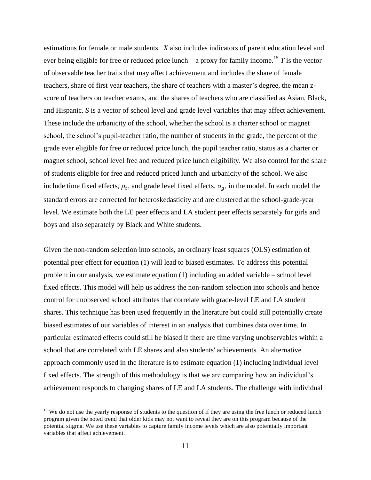estimations for female or male students. *X* also includes indicators of parent education level and ever being eligible for free or reduced price lunch—a proxy for family income.<sup>15</sup> *T* is the vector of observable teacher traits that may affect achievement and includes the share of female teachers, share of first year teachers, the share of teachers with a master's degree, the mean zscore of teachers on teacher exams, and the shares of teachers who are classified as Asian, Black, and Hispanic. *S* is a vector of school level and grade level variables that may affect achievement. These include the urbanicity of the school, whether the school is a charter school or magnet school, the school's pupil-teacher ratio, the number of students in the grade, the percent of the grade ever eligible for free or reduced price lunch, the pupil teacher ratio, status as a charter or magnet school, school level free and reduced price lunch eligibility. We also control for the share of students eligible for free and reduced priced lunch and urbanicity of the school. We also include time fixed effects,  $\rho_t$ , and grade level fixed effects,  $\sigma_g$ , in the model. In each model the standard errors are corrected for heteroskedasticity and are clustered at the school-grade-year level. We estimate both the LE peer effects and LA student peer effects separately for girls and boys and also separately by Black and White students.

Given the non-random selection into schools, an ordinary least squares (OLS) estimation of potential peer effect for equation (1) will lead to biased estimates. To address this potential problem in our analysis, we estimate equation (1) including an added variable – school level fixed effects. This model will help us address the non-random selection into schools and hence control for unobserved school attributes that correlate with grade-level LE and LA student shares. This technique has been used frequently in the literature but could still potentially create biased estimates of our variables of interest in an analysis that combines data over time. In particular estimated effects could still be biased if there are time varying unobservables within a school that are correlated with LE shares and also students' achievements. An alternative approach commonly used in the literature is to estimate equation (1) including individual level fixed effects. The strength of this methodology is that we are comparing how an individual's achievement responds to changing shares of LE and LA students. The challenge with individual

<sup>&</sup>lt;sup>15</sup> We do not use the yearly response of students to the question of if they are using the free lunch or reduced lunch program given the noted trend that older kids may not want to reveal they are on this program because of the potential stigma. We use these variables to capture family income levels which are also potentially important variables that affect achievement.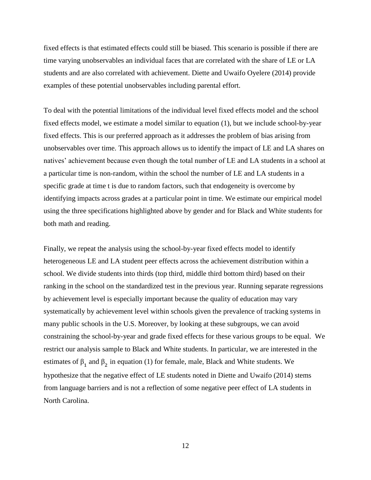fixed effects is that estimated effects could still be biased. This scenario is possible if there are time varying unobservables an individual faces that are correlated with the share of LE or LA students and are also correlated with achievement. Diette and Uwaifo Oyelere (2014) provide examples of these potential unobservables including parental effort.

To deal with the potential limitations of the individual level fixed effects model and the school fixed effects model, we estimate a model similar to equation (1), but we include school-by-year fixed effects. This is our preferred approach as it addresses the problem of bias arising from unobservables over time. This approach allows us to identify the impact of LE and LA shares on natives' achievement because even though the total number of LE and LA students in a school at a particular time is non-random, within the school the number of LE and LA students in a specific grade at time t is due to random factors, such that endogeneity is overcome by identifying impacts across grades at a particular point in time. We estimate our empirical model using the three specifications highlighted above by gender and for Black and White students for both math and reading.

Finally, we repeat the analysis using the school-by-year fixed effects model to identify heterogeneous LE and LA student peer effects across the achievement distribution within a school. We divide students into thirds (top third, middle third bottom third) based on their ranking in the school on the standardized test in the previous year. Running separate regressions by achievement level is especially important because the quality of education may vary systematically by achievement level within schools given the prevalence of tracking systems in many public schools in the U.S. Moreover, by looking at these subgroups, we can avoid constraining the school-by-year and grade fixed effects for these various groups to be equal. We restrict our analysis sample to Black and White students. In particular, we are interested in the estimates of  $\beta_1$  and  $\beta_2$  in equation (1) for female, male, Black and White students. We hypothesize that the negative effect of LE students noted in Diette and Uwaifo (2014) stems from language barriers and is not a reflection of some negative peer effect of LA students in North Carolina.

12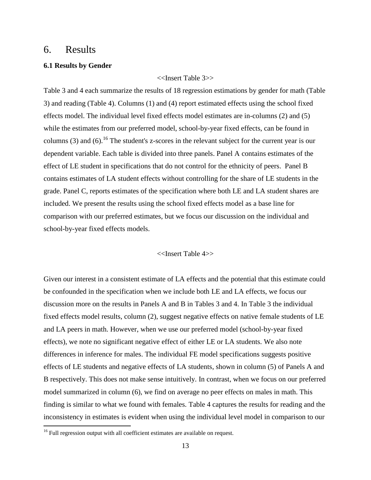### 6. Results

#### **6.1 Results by Gender**

<<Insert Table 3>>

Table 3 and 4 each summarize the results of 18 regression estimations by gender for math (Table 3) and reading (Table 4). Columns (1) and (4) report estimated effects using the school fixed effects model. The individual level fixed effects model estimates are in-columns (2) and (5) while the estimates from our preferred model, school-by-year fixed effects, can be found in columns (3) and (6).<sup>16</sup> The student's z-scores in the relevant subject for the current year is our dependent variable. Each table is divided into three panels. Panel A contains estimates of the effect of LE student in specifications that do not control for the ethnicity of peers. Panel B contains estimates of LA student effects without controlling for the share of LE students in the grade. Panel C, reports estimates of the specification where both LE and LA student shares are included. We present the results using the school fixed effects model as a base line for comparison with our preferred estimates, but we focus our discussion on the individual and school-by-year fixed effects models.

#### <<Insert Table 4>>

Given our interest in a consistent estimate of LA effects and the potential that this estimate could be confounded in the specification when we include both LE and LA effects, we focus our discussion more on the results in Panels A and B in Tables 3 and 4. In Table 3 the individual fixed effects model results, column (2), suggest negative effects on native female students of LE and LA peers in math. However, when we use our preferred model (school-by-year fixed effects), we note no significant negative effect of either LE or LA students. We also note differences in inference for males. The individual FE model specifications suggests positive effects of LE students and negative effects of LA students, shown in column (5) of Panels A and B respectively. This does not make sense intuitively. In contrast, when we focus on our preferred model summarized in column (6), we find on average no peer effects on males in math. This finding is similar to what we found with females. Table 4 captures the results for reading and the inconsistency in estimates is evident when using the individual level model in comparison to our

 $16$  Full regression output with all coefficient estimates are available on request.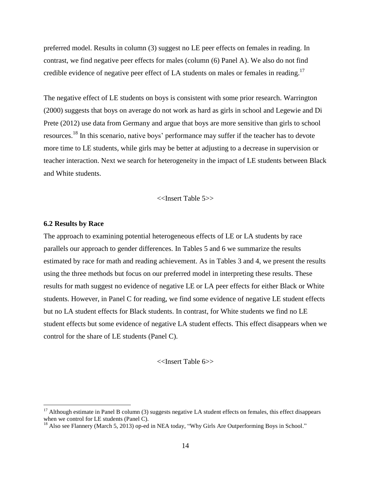preferred model. Results in column (3) suggest no LE peer effects on females in reading. In contrast, we find negative peer effects for males (column (6) Panel A). We also do not find credible evidence of negative peer effect of LA students on males or females in reading.<sup>17</sup>

The negative effect of LE students on boys is consistent with some prior research. Warrington (2000) suggests that boys on average do not work as hard as girls in school and Legewie and Di Prete (2012) use data from Germany and argue that boys are more sensitive than girls to school resources.<sup>18</sup> In this scenario, native boys' performance may suffer if the teacher has to devote more time to LE students, while girls may be better at adjusting to a decrease in supervision or teacher interaction. Next we search for heterogeneity in the impact of LE students between Black and White students.

<<Insert Table 5>>

#### **6.2 Results by Race**

 $\overline{a}$ 

The approach to examining potential heterogeneous effects of LE or LA students by race parallels our approach to gender differences. In Tables 5 and 6 we summarize the results estimated by race for math and reading achievement. As in Tables 3 and 4, we present the results using the three methods but focus on our preferred model in interpreting these results. These results for math suggest no evidence of negative LE or LA peer effects for either Black or White students. However, in Panel C for reading, we find some evidence of negative LE student effects but no LA student effects for Black students. In contrast, for White students we find no LE student effects but some evidence of negative LA student effects. This effect disappears when we control for the share of LE students (Panel C).

<<Insert Table 6>>

 $17$  Although estimate in Panel B column (3) suggests negative LA student effects on females, this effect disappears when we control for LE students (Panel C).

<sup>&</sup>lt;sup>18</sup> Also see Flannery (March 5, 2013) op-ed in NEA today, "Why Girls Are Outperforming Boys in School."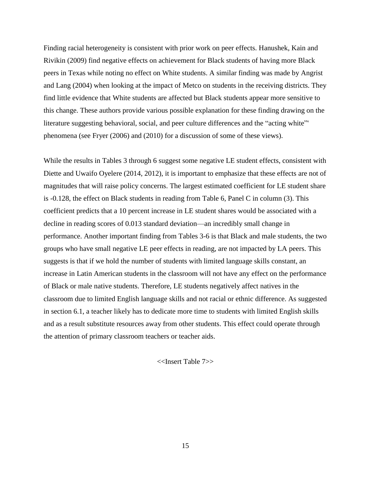Finding racial heterogeneity is consistent with prior work on peer effects. Hanushek, Kain and Rivikin (2009) find negative effects on achievement for Black students of having more Black peers in Texas while noting no effect on White students. A similar finding was made by Angrist and Lang (2004) when looking at the impact of Metco on students in the receiving districts. They find little evidence that White students are affected but Black students appear more sensitive to this change. These authors provide various possible explanation for these finding drawing on the literature suggesting behavioral, social, and peer culture differences and the "acting white"' phenomena (see Fryer (2006) and (2010) for a discussion of some of these views).

While the results in Tables 3 through 6 suggest some negative LE student effects, consistent with Diette and Uwaifo Oyelere (2014, 2012), it is important to emphasize that these effects are not of magnitudes that will raise policy concerns. The largest estimated coefficient for LE student share is -0.128, the effect on Black students in reading from Table 6, Panel C in column (3). This coefficient predicts that a 10 percent increase in LE student shares would be associated with a decline in reading scores of 0.013 standard deviation—an incredibly small change in performance. Another important finding from Tables 3-6 is that Black and male students, the two groups who have small negative LE peer effects in reading, are not impacted by LA peers. This suggests is that if we hold the number of students with limited language skills constant, an increase in Latin American students in the classroom will not have any effect on the performance of Black or male native students. Therefore, LE students negatively affect natives in the classroom due to limited English language skills and not racial or ethnic difference. As suggested in section 6.1, a teacher likely has to dedicate more time to students with limited English skills and as a result substitute resources away from other students. This effect could operate through the attention of primary classroom teachers or teacher aids.

<<Insert Table 7>>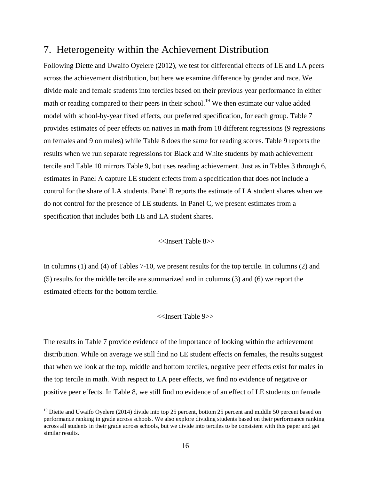## 7. Heterogeneity within the Achievement Distribution

Following Diette and Uwaifo Oyelere (2012), we test for differential effects of LE and LA peers across the achievement distribution, but here we examine difference by gender and race. We divide male and female students into terciles based on their previous year performance in either math or reading compared to their peers in their school.<sup>19</sup> We then estimate our value added model with school-by-year fixed effects, our preferred specification, for each group. Table 7 provides estimates of peer effects on natives in math from 18 different regressions (9 regressions on females and 9 on males) while Table 8 does the same for reading scores. Table 9 reports the results when we run separate regressions for Black and White students by math achievement tercile and Table 10 mirrors Table 9, but uses reading achievement. Just as in Tables 3 through 6, estimates in Panel A capture LE student effects from a specification that does not include a control for the share of LA students. Panel B reports the estimate of LA student shares when we do not control for the presence of LE students. In Panel C, we present estimates from a specification that includes both LE and LA student shares.

<<Insert Table 8>>

In columns (1) and (4) of Tables 7-10, we present results for the top tercile. In columns (2) and (5) results for the middle tercile are summarized and in columns (3) and (6) we report the estimated effects for the bottom tercile.

#### <<Insert Table 9>>

The results in Table 7 provide evidence of the importance of looking within the achievement distribution. While on average we still find no LE student effects on females, the results suggest that when we look at the top, middle and bottom terciles, negative peer effects exist for males in the top tercile in math. With respect to LA peer effects, we find no evidence of negative or positive peer effects. In Table 8, we still find no evidence of an effect of LE students on female

<sup>&</sup>lt;sup>19</sup> Diette and Uwaifo Oyelere (2014) divide into top 25 percent, bottom 25 percent and middle 50 percent based on performance ranking in grade across schools. We also explore dividing students based on their performance ranking across all students in their grade across schools, but we divide into terciles to be consistent with this paper and get similar results.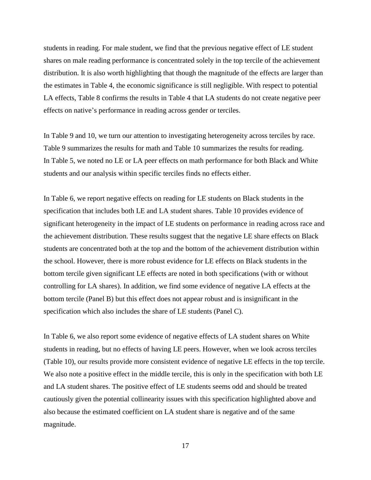students in reading. For male student, we find that the previous negative effect of LE student shares on male reading performance is concentrated solely in the top tercile of the achievement distribution. It is also worth highlighting that though the magnitude of the effects are larger than the estimates in Table 4, the economic significance is still negligible. With respect to potential LA effects, Table 8 confirms the results in Table 4 that LA students do not create negative peer effects on native's performance in reading across gender or terciles.

In Table 9 and 10, we turn our attention to investigating heterogeneity across terciles by race. Table 9 summarizes the results for math and Table 10 summarizes the results for reading. In Table 5, we noted no LE or LA peer effects on math performance for both Black and White students and our analysis within specific terciles finds no effects either.

In Table 6, we report negative effects on reading for LE students on Black students in the specification that includes both LE and LA student shares. Table 10 provides evidence of significant heterogeneity in the impact of LE students on performance in reading across race and the achievement distribution. These results suggest that the negative LE share effects on Black students are concentrated both at the top and the bottom of the achievement distribution within the school. However, there is more robust evidence for LE effects on Black students in the bottom tercile given significant LE effects are noted in both specifications (with or without controlling for LA shares). In addition, we find some evidence of negative LA effects at the bottom tercile (Panel B) but this effect does not appear robust and is insignificant in the specification which also includes the share of LE students (Panel C).

In Table 6, we also report some evidence of negative effects of LA student shares on White students in reading, but no effects of having LE peers. However, when we look across terciles (Table 10), our results provide more consistent evidence of negative LE effects in the top tercile. We also note a positive effect in the middle tercile, this is only in the specification with both LE and LA student shares. The positive effect of LE students seems odd and should be treated cautiously given the potential collinearity issues with this specification highlighted above and also because the estimated coefficient on LA student share is negative and of the same magnitude.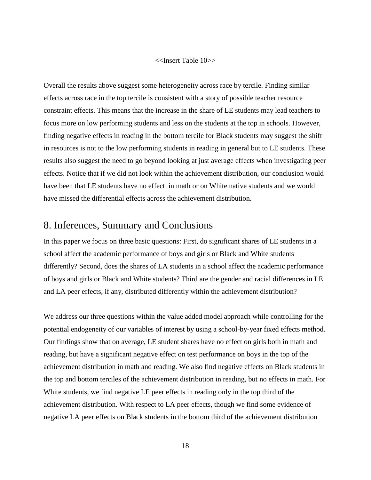#### <<Insert Table 10>>

Overall the results above suggest some heterogeneity across race by tercile. Finding similar effects across race in the top tercile is consistent with a story of possible teacher resource constraint effects. This means that the increase in the share of LE students may lead teachers to focus more on low performing students and less on the students at the top in schools. However, finding negative effects in reading in the bottom tercile for Black students may suggest the shift in resources is not to the low performing students in reading in general but to LE students. These results also suggest the need to go beyond looking at just average effects when investigating peer effects. Notice that if we did not look within the achievement distribution, our conclusion would have been that LE students have no effect in math or on White native students and we would have missed the differential effects across the achievement distribution.

# 8. Inferences, Summary and Conclusions

In this paper we focus on three basic questions: First, do significant shares of LE students in a school affect the academic performance of boys and girls or Black and White students differently? Second, does the shares of LA students in a school affect the academic performance of boys and girls or Black and White students? Third are the gender and racial differences in LE and LA peer effects, if any, distributed differently within the achievement distribution?

We address our three questions within the value added model approach while controlling for the potential endogeneity of our variables of interest by using a school-by-year fixed effects method. Our findings show that on average, LE student shares have no effect on girls both in math and reading, but have a significant negative effect on test performance on boys in the top of the achievement distribution in math and reading. We also find negative effects on Black students in the top and bottom terciles of the achievement distribution in reading, but no effects in math. For White students, we find negative LE peer effects in reading only in the top third of the achievement distribution. With respect to LA peer effects, though we find some evidence of negative LA peer effects on Black students in the bottom third of the achievement distribution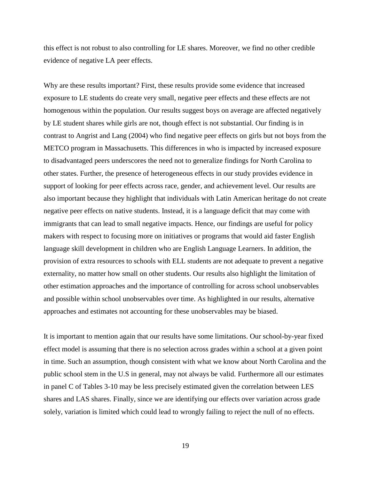this effect is not robust to also controlling for LE shares. Moreover, we find no other credible evidence of negative LA peer effects.

Why are these results important? First, these results provide some evidence that increased exposure to LE students do create very small, negative peer effects and these effects are not homogenous within the population. Our results suggest boys on average are affected negatively by LE student shares while girls are not, though effect is not substantial. Our finding is in contrast to Angrist and Lang (2004) who find negative peer effects on girls but not boys from the METCO program in Massachusetts. This differences in who is impacted by increased exposure to disadvantaged peers underscores the need not to generalize findings for North Carolina to other states. Further, the presence of heterogeneous effects in our study provides evidence in support of looking for peer effects across race, gender, and achievement level. Our results are also important because they highlight that individuals with Latin American heritage do not create negative peer effects on native students. Instead, it is a language deficit that may come with immigrants that can lead to small negative impacts. Hence, our findings are useful for policy makers with respect to focusing more on initiatives or programs that would aid faster English language skill development in children who are English Language Learners. In addition, the provision of extra resources to schools with ELL students are not adequate to prevent a negative externality, no matter how small on other students. Our results also highlight the limitation of other estimation approaches and the importance of controlling for across school unobservables and possible within school unobservables over time. As highlighted in our results, alternative approaches and estimates not accounting for these unobservables may be biased.

It is important to mention again that our results have some limitations. Our school-by-year fixed effect model is assuming that there is no selection across grades within a school at a given point in time. Such an assumption, though consistent with what we know about North Carolina and the public school stem in the U.S in general, may not always be valid. Furthermore all our estimates in panel C of Tables 3-10 may be less precisely estimated given the correlation between LES shares and LAS shares. Finally, since we are identifying our effects over variation across grade solely, variation is limited which could lead to wrongly failing to reject the null of no effects.

19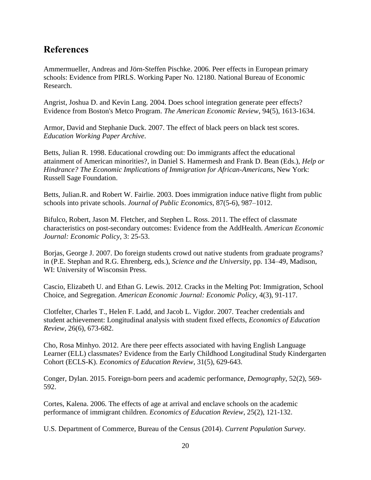# **References**

Ammermueller, Andreas and Jörn-Steffen Pischke. 2006. Peer effects in European primary schools: Evidence from PIRLS. Working Paper No. 12180. National Bureau of Economic Research.

Angrist, Joshua D. and Kevin Lang. 2004. Does school integration generate peer effects? Evidence from Boston's Metco Program. *The American Economic Review*, 94(5), 1613-1634.

Armor, David and Stephanie Duck. 2007. The effect of black peers on black test scores. *Education Working Paper Archive*.

Betts, Julian R. 1998. Educational crowding out: Do immigrants affect the educational attainment of American minorities?, in Daniel S. Hamermesh and Frank D. Bean (Eds.), *Help or Hindrance? The Economic Implications of Immigration for African-Americans*, New York: Russell Sage Foundation.

Betts, Julian.R. and Robert W. Fairlie. 2003. Does immigration induce native flight from public schools into private schools. *Journal of Public Economics*, 87(5-6), 987–1012.

Bifulco, Robert, Jason M. Fletcher, and Stephen L. Ross. 2011. The effect of classmate characteristics on post-secondary outcomes: Evidence from the AddHealth. *American Economic Journal: Economic Policy*, 3: 25-53.

Borjas, George J. 2007. Do foreign students crowd out native students from graduate programs? in (P.E. Stephan and R.G. Ehrenberg, eds.), *Science and the University*, pp. 134–49, Madison, WI: University of Wisconsin Press.

Cascio, Elizabeth U. and Ethan G. Lewis. 2012. Cracks in the Melting Pot: Immigration, School Choice, and Segregation. *American Economic Journal: Economic Policy*, 4(3), 91-117.

Clotfelter, Charles T., Helen F. Ladd, and Jacob L. Vigdor. 2007. Teacher credentials and student achievement: Longitudinal analysis with student fixed effects, *Economics of Education Review*, 26(6), 673-682.

Cho, Rosa Minhyo. 2012. Are there peer effects associated with having English Language Learner (ELL) classmates? Evidence from the Early Childhood Longitudinal Study Kindergarten Cohort (ECLS-K). *Economics of Education Review*, 31(5), 629-643.

Conger, Dylan. 2015. Foreign-born peers and academic performance, *Demography*, 52(2), 569- 592.

Cortes, Kalena. 2006. The effects of age at arrival and enclave schools on the academic performance of immigrant children. *Economics of Education Review*, 25(2), 121-132.

U.S. Department of Commerce, Bureau of the Census (2014). *Current Population Survey*.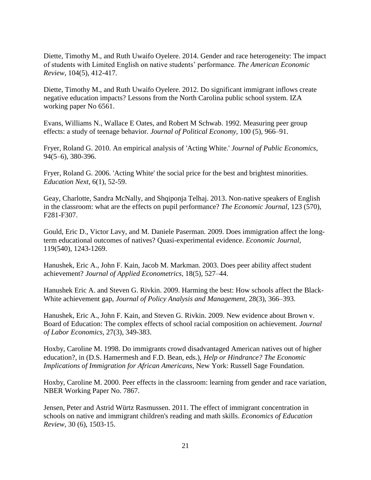Diette, Timothy M., and Ruth Uwaifo Oyelere. 2014. Gender and race heterogeneity: The impact of students with Limited English on native students' performance. *The American Economic Review*, 104(5), 412-417.

Diette, Timothy M., and Ruth Uwaifo Oyelere. 2012. Do significant immigrant inflows create negative education impacts? Lessons from the North Carolina public school system. IZA working paper No 6561.

Evans, Williams N., Wallace E Oates, and Robert M Schwab. 1992. Measuring peer group effects: a study of teenage behavior. *Journal of Political Economy,* 100 (5), 966–91.

Fryer, Roland G. 2010. An empirical analysis of 'Acting White.' *Journal of Public Economics*, 94(5–6), 380-396.

Fryer, Roland G. 2006. 'Acting White' the social price for the best and brightest minorities. *Education Next*, 6(1), 52-59.

Geay, Charlotte, Sandra McNally, and Shqiponja Telhaj. 2013. Non-native speakers of English in the classroom: what are the effects on pupil performance? *The Economic Journal*, 123 (570), F281-F307.

Gould, Eric D., Victor Lavy, and M. Daniele Paserman. 2009. [Does immigration affect the long](http://ideas.repec.org/a/ecj/econjl/v119y2009i540p1243-1269.html)[term educational outcomes of natives? Quasi-experimental evidence.](http://ideas.repec.org/a/ecj/econjl/v119y2009i540p1243-1269.html) *[Economic Journal](http://ideas.repec.org/s/ecj/econjl.html)*, 119(540), 1243-1269.

Hanushek, Eric A., John F. Kain, Jacob M. Markman. 2003. Does peer ability affect student achievement? *Journal of Applied Econometrics*, 18(5), 527–44.

Hanushek Eric A. and Steven G. Rivkin. 2009. [Harming the best: How schools affect the Black-](http://ideas.repec.org/p/nbr/nberwo/14211.html)[White achievement gap,](http://ideas.repec.org/p/nbr/nberwo/14211.html) *Journal of Policy Analysis and Management*, 28(3), 366–393.

Hanushek, Eric A., John F. Kain, and Steven G. Rivkin. 2009. New evidence about Brown v. Board of Education: The complex effects of school racial composition on achievement. *Journal of Labor Economics*, 27(3), 349-383.

Hoxby, Caroline M. 1998. Do immigrants crowd disadvantaged American natives out of higher education?, in (D.S. Hamermesh and F.D. Bean, eds.), *Help or Hindrance? The Economic Implications of Immigration for African Americans*, New York: Russell Sage Foundation.

Hoxby, Caroline M. 2000. Peer effects in the classroom: learning from gender and race variation, NBER Working Paper No. 7867.

Jensen, Peter and Astrid Würtz Rasmussen. 2011. The effect of immigrant concentration in schools on native and immigrant children's reading and math skills. *Economics of Education Review,* 30 (6), 1503-15.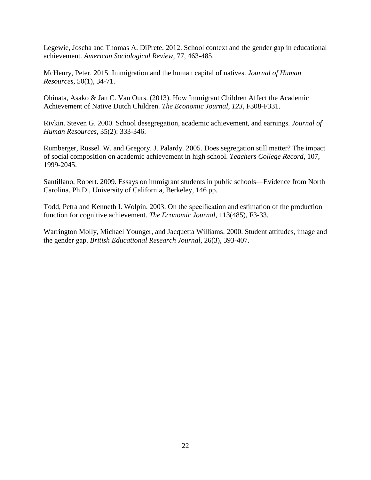Legewie, Joscha and Thomas A. DiPrete. 2012. School context and the gender gap in educational achievement. *American Sociological Review*, 77, 463-485.

McHenry, Peter. 2015. Immigration and the human capital of natives. *Journal of Human Resources*, 50(1), 34-71.

Ohinata, Asako & Jan C. Van Ours. (2013). How Immigrant Children Affect the Academic Achievement of Native Dutch Children. *The Economic Journal*, *123*, F308-F331.

Rivkin. Steven G. 2000. School desegregation, academic achievement, and earnings*. Journal of Human Resources*, 35(2): 333-346.

Rumberger, Russel. W. and Gregory. J. Palardy. 2005. Does segregation still matter? The impact of social composition on academic achievement in high school. *Teachers College Record*, 107, 1999-2045.

Santillano, Robert. 2009. Essays on immigrant students in public schools—Evidence from North Carolina. Ph.D., University of California, Berkeley, 146 pp.

Todd, Petra and Kenneth I. Wolpin. 2003. On the specification and estimation of the production function for cognitive achievement. *The Economic Journal*, 113(485), F3-33.

Warrington Molly, Michael Younger, and Jacquetta Williams. 2000. Student attitudes, image and the gender gap. *[British Educational Research Journal](http://onlinelibrary.wiley.com/journal/10.1002/%28ISSN%291469-3518)*, 26(3), 393-407.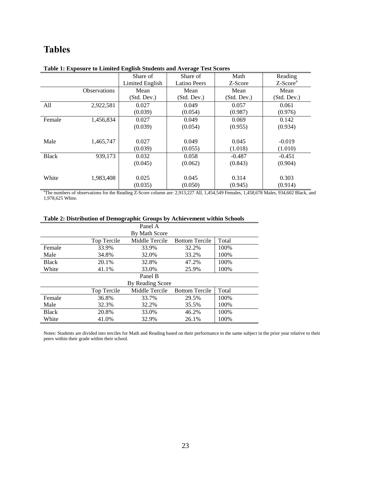# **Tables**

|              |                     | Share of        | Share of            | Math        | Reading              |
|--------------|---------------------|-----------------|---------------------|-------------|----------------------|
|              |                     | Limited English | <b>Latino Peers</b> | Z-Score     | Z-Score <sup>a</sup> |
|              | <b>Observations</b> | Mean            | Mean                | Mean        | Mean                 |
|              |                     | (Std. Dev.)     | (Std. Dev.)         | (Std. Dev.) | (Std. Dev.)          |
| All          | 2,922,581           | 0.027           | 0.049               | 0.057       | 0.061                |
|              |                     | (0.039)         | (0.054)             | (0.987)     | (0.976)              |
| Female       | 1,456,834           | 0.027           | 0.049               | 0.069       | 0.142                |
|              |                     | (0.039)         | (0.054)             | (0.955)     | (0.934)              |
|              |                     |                 |                     |             |                      |
| Male         | 1,465,747           | 0.027           | 0.049               | 0.045       | $-0.019$             |
|              |                     | (0.039)         | (0.055)             | (1.018)     | (1.010)              |
| <b>Black</b> | 939.173             | 0.032           | 0.058               | $-0.487$    | $-0.451$             |
|              |                     | (0.045)         | (0.062)             | (0.843)     | (0.904)              |
|              |                     |                 |                     |             |                      |
| White        | 1,983,408           | 0.025           | 0.045               | 0.314       | 0.303                |
|              |                     | (0.035)         | (0.050)             | (0.945)     | (0.914)              |

#### **Table 1: Exposure to Limited English Students and Average Test Scores**

<sup>a</sup>The numbers of observations for the Reading Z-Score column are: 2,913,227 All, 1,454,549 Females, 1,458,678 Males, 934,602 Black, and 1,978,625 White.

| Table 2: Distribution of Demographic Groups by Achievement within Schools |  |  |  |  |  |  |  |
|---------------------------------------------------------------------------|--|--|--|--|--|--|--|
|---------------------------------------------------------------------------|--|--|--|--|--|--|--|

| Panel A      |             |                  |                       |       |  |  |  |  |  |
|--------------|-------------|------------------|-----------------------|-------|--|--|--|--|--|
|              |             | By Math Score    |                       |       |  |  |  |  |  |
|              | Top Tercile | Middle Tercile   | <b>Bottom Tercile</b> | Total |  |  |  |  |  |
| Female       | 33.9%       | 33.9%            | 32.2%                 | 100%  |  |  |  |  |  |
| Male         | 34.8%       | 32.0%            | 33.2%                 | 100%  |  |  |  |  |  |
| <b>Black</b> | 20.1%       | 32.8%            | 47.2%                 | 100%  |  |  |  |  |  |
| White        | 41.1%       | 33.0%            | 25.9%                 | 100%  |  |  |  |  |  |
|              |             | Panel B          |                       |       |  |  |  |  |  |
|              |             | By Reading Score |                       |       |  |  |  |  |  |
|              | Top Tercile | Middle Tercile   | <b>Bottom Tercile</b> | Total |  |  |  |  |  |
| Female       | 36.8%       | 33.7%            | 29.5%                 | 100%  |  |  |  |  |  |
| Male         | 32.3%       | 32.2%            | 35.5%                 | 100%  |  |  |  |  |  |
| <b>Black</b> | 20.8%       | 33.0%            | 46.2%                 | 100%  |  |  |  |  |  |
| White        | 41.0%       | 32.9%            | 26.1%                 | 100%  |  |  |  |  |  |

Notes: Students are divided into terciles for Math and Reading based on their performance in the same subject in the prior year relative to their peers within their grade within their school.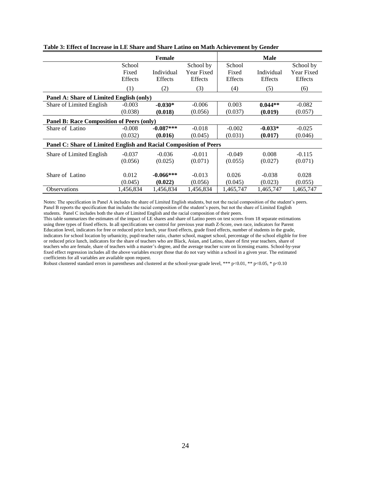|                                                                   |           | <b>Female</b> |            |           | <b>Male</b> |                |
|-------------------------------------------------------------------|-----------|---------------|------------|-----------|-------------|----------------|
|                                                                   | School    |               | School by  | School    |             | School by      |
|                                                                   | Fixed     | Individual    | Year Fixed | Fixed     | Individual  | Year Fixed     |
|                                                                   | Effects   | Effects       | Effects    | Effects   | Effects     | <b>Effects</b> |
|                                                                   | (1)       | (2)           | (3)        | (4)       | (5)         | (6)            |
| Panel A: Share of Limited English (only)                          |           |               |            |           |             |                |
| Share of Limited English                                          | $-0.003$  | $-0.030*$     | $-0.006$   | 0.003     | $0.044**$   | $-0.082$       |
|                                                                   | (0.038)   | (0.018)       | (0.056)    | (0.037)   | (0.019)     | (0.057)        |
| Panel B: Race Composition of Peers (only)                         |           |               |            |           |             |                |
| Share of Latino                                                   | $-0.008$  | $-0.087***$   | $-0.018$   | $-0.002$  | $-0.033*$   | $-0.025$       |
|                                                                   | (0.032)   | (0.016)       | (0.045)    | (0.031)   | (0.017)     | (0.046)        |
| Panel C: Share of Limited English and Racial Composition of Peers |           |               |            |           |             |                |
| Share of Limited English                                          | $-0.037$  | $-0.036$      | $-0.011$   | $-0.049$  | 0.008       | $-0.115$       |
|                                                                   | (0.056)   | (0.025)       | (0.071)    | (0.055)   | (0.027)     | (0.071)        |
|                                                                   |           |               |            |           |             |                |
| Share of Latino                                                   | 0.012     | $-0.066***$   | $-0.013$   | 0.026     | $-0.038$    | 0.028          |
|                                                                   | (0.045)   | (0.022)       | (0.056)    | (0.045)   | (0.023)     | (0.055)        |
| <b>Observations</b>                                               | 1,456,834 | 1,456,834     | 1,456,834  | 1,465,747 | 1,465,747   | 1,465,747      |

**Table 3: Effect of Increase in LE Share and Share Latino on Math Achievement by Gender**

This table summarizes the estimates of the impact of LE shares and share of Latino peers on test scores from 18 separate estimations using three types of fixed effects. In all specifications we control for previous year math Z-Score, own race, indicators for Parent Education level, indicators for free or reduced price lunch, year fixed effects, grade fixed effects, number of students in the grade, indicators for school location by urbanicity, pupil-teacher ratio, charter school, magnet school, percentage of the school eligible for free or reduced price lunch, indicators for the share of teachers who are Black, Asian, and Latino, share of first year teachers, share of teachers who are female, share of teachers with a master's degree, and the average teacher score on licensing exams. School-by-year fixed effect regression includes all the above variables except those that do not vary within a school in a given year. The estimated coefficients for all variables are available upon request.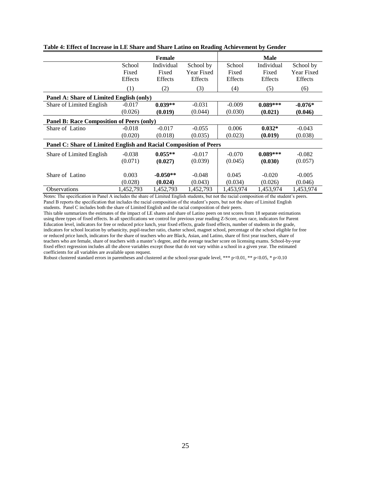|                                                                   |           | Female     |            |           | <b>Male</b> |                |
|-------------------------------------------------------------------|-----------|------------|------------|-----------|-------------|----------------|
|                                                                   | School    | Individual | School by  | School    | Individual  | School by      |
|                                                                   | Fixed     | Fixed      | Year Fixed | Fixed     | Fixed       | Year Fixed     |
|                                                                   | Effects   | Effects    | Effects    | Effects   | Effects     | <b>Effects</b> |
|                                                                   | (1)       | (2)        | (3)        | (4)       | (5)         | (6)            |
| Panel A: Share of Limited English (only)                          |           |            |            |           |             |                |
| Share of Limited English                                          | $-0.017$  | $0.039**$  | $-0.031$   | $-0.009$  | $0.089***$  | $-0.076*$      |
|                                                                   | (0.026)   | (0.019)    | (0.044)    | (0.030)   | (0.021)     | (0.046)        |
| <b>Panel B: Race Composition of Peers (only)</b>                  |           |            |            |           |             |                |
| Share of Latino                                                   | $-0.018$  | $-0.017$   | $-0.055$   | 0.006     | $0.032*$    | $-0.043$       |
|                                                                   | (0.020)   | (0.018)    | (0.035)    | (0.023)   | (0.019)     | (0.038)        |
| Panel C: Share of Limited English and Racial Composition of Peers |           |            |            |           |             |                |
| Share of Limited English                                          | $-0.038$  | $0.055**$  | $-0.017$   | $-0.070$  | $0.089***$  | $-0.082$       |
|                                                                   | (0.071)   | (0.027)    | (0.039)    | (0.045)   | (0.030)     | (0.057)        |
|                                                                   |           |            |            |           |             |                |
| Share of Latino                                                   | 0.003     | $-0.050**$ | $-0.048$   | 0.045     | $-0.020$    | $-0.005$       |
|                                                                   | (0.028)   | (0.024)    | (0.043)    | (0.034)   | (0.026)     | (0.046)        |
| <b>Observations</b>                                               | 1,452,793 | 1,452,793  | 1,452,793  | 1,453,974 | 1,453,974   | 1,453,974      |

**Table 4: Effect of Increase in LE Share and Share Latino on Reading Achievement by Gender**

This table summarizes the estimates of the impact of LE shares and share of Latino peers on test scores from 18 separate estimations using three types of fixed effects. In all specifications we control for previous year reading Z-Score, own race, indicators for Parent Education level, indicators for free or reduced price lunch, year fixed effects, grade fixed effects, number of students in the grade, indicators for school location by urbanicity, pupil-teacher ratio, charter school, magnet school, percentage of the school eligible for free or reduced price lunch, indicators for the share of teachers who are Black, Asian, and Latino, share of first year teachers, share of teachers who are female, share of teachers with a master's degree, and the average teacher score on licensing exams. School-by-year fixed effect regression includes all the above variables except those that do not vary within a school in a given year. The estimated coefficients for all variables are available upon request.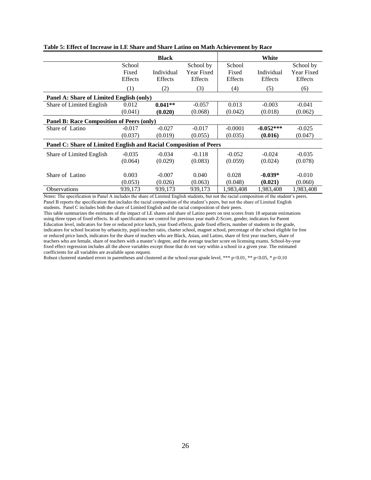|                                                                   |                | <b>Black</b> |            |           | White       |                |
|-------------------------------------------------------------------|----------------|--------------|------------|-----------|-------------|----------------|
|                                                                   | School         |              | School by  | School    |             | School by      |
|                                                                   | Fixed          | Individual   | Year Fixed | Fixed     | Individual  | Year Fixed     |
|                                                                   | <b>Effects</b> | Effects      | Effects    | Effects   | Effects     | <b>Effects</b> |
|                                                                   | (1)            | (2)          | (3)        | (4)       | (5)         | (6)            |
| Panel A: Share of Limited English (only)                          |                |              |            |           |             |                |
| Share of Limited English                                          | 0.012          | $0.041**$    | $-0.057$   | 0.013     | $-0.003$    | $-0.041$       |
|                                                                   | (0.041)        | (0.020)      | (0.068)    | (0.042)   | (0.018)     | (0.062)        |
| <b>Panel B: Race Composition of Peers (only)</b>                  |                |              |            |           |             |                |
| Share of Latino                                                   | $-0.017$       | $-0.027$     | $-0.017$   | $-0.0001$ | $-0.052***$ | $-0.025$       |
|                                                                   | (0.037)        | (0.019)      | (0.055)    | (0.035)   | (0.016)     | (0.047)        |
| Panel C: Share of Limited English and Racial Composition of Peers |                |              |            |           |             |                |
| Share of Limited English                                          | $-0.035$       | $-0.034$     | $-0.118$   | $-0.052$  | $-0.024$    | $-0.035$       |
|                                                                   | (0.064)        | (0.029)      | (0.083)    | (0.059)   | (0.024)     | (0.078)        |
|                                                                   |                |              |            |           |             |                |
| Share of Latino                                                   | 0.003          | $-0.007$     | 0.040      | 0.028     | $-0.039*$   | $-0.010$       |
|                                                                   | (0.053)        | (0.026)      | (0.063)    | (0.048)   | (0.021)     | (0.060)        |
| <b>Observations</b>                                               | 939,173        | 939,173      | 939,173    | 1,983,408 | 1,983,408   | 1,983,408      |

**Table 5: Effect of Increase in LE Share and Share Latino on Math Achievement by Race**

This table summarizes the estimates of the impact of LE shares and share of Latino peers on test scores from 18 separate estimations using three types of fixed effects. In all specifications we control for previous year math Z-Score, gender, indicators for Parent Education level, indicators for free or reduced price lunch, year fixed effects, grade fixed effects, number of students in the grade, indicators for school location by urbanicity, pupil-teacher ratio, charter school, magnet school, percentage of the school eligible for free or reduced price lunch, indicators for the share of teachers who are Black, Asian, and Latino, share of first year teachers, share of teachers who are female, share of teachers with a master's degree, and the average teacher score on licensing exams. School-by-year fixed effect regression includes all the above variables except those that do not vary within a school in a given year. The estimated coefficients for all variables are available upon request.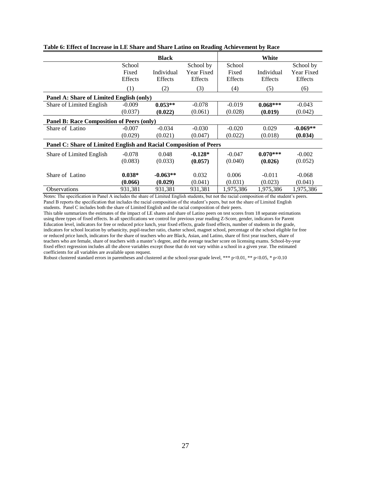|                                                                   |                | <b>Black</b> |            |           | White      |                |
|-------------------------------------------------------------------|----------------|--------------|------------|-----------|------------|----------------|
|                                                                   | School         |              | School by  | School    |            | School by      |
|                                                                   | Fixed          | Individual   | Year Fixed | Fixed     | Individual | Year Fixed     |
|                                                                   | <b>Effects</b> | Effects      | Effects    | Effects   | Effects    | <b>Effects</b> |
|                                                                   | (1)            | (2)          | (3)        | (4)       | (5)        | (6)            |
| Panel A: Share of Limited English (only)                          |                |              |            |           |            |                |
| Share of Limited English                                          | $-0.009$       | $0.053**$    | $-0.078$   | $-0.019$  | $0.068***$ | $-0.043$       |
|                                                                   | (0.037)        | (0.022)      | (0.061)    | (0.028)   | (0.019)    | (0.042)        |
| <b>Panel B: Race Composition of Peers (only)</b>                  |                |              |            |           |            |                |
| Share of Latino                                                   | $-0.007$       | $-0.034$     | $-0.030$   | $-0.020$  | 0.029      | $-0.069**$     |
|                                                                   | (0.029)        | (0.021)      | (0.047)    | (0.022)   | (0.018)    | (0.034)        |
| Panel C: Share of Limited English and Racial Composition of Peers |                |              |            |           |            |                |
| Share of Limited English                                          | $-0.078$       | 0.048        | $-0.128*$  | $-0.047$  | $0.070***$ | $-0.002$       |
|                                                                   | (0.083)        | (0.033)      | (0.057)    | (0.040)   | (0.026)    | (0.052)        |
|                                                                   |                |              |            |           |            |                |
| Share of Latino                                                   | $0.038*$       | $-0.063**$   | 0.032      | 0.006     | $-0.011$   | $-0.068$       |
|                                                                   | (0.066)        | (0.029)      | (0.041)    | (0.031)   | (0.023)    | (0.041)        |
| <b>Observations</b>                                               | 931,381        | 931,381      | 931,381    | 1,975,386 | 1,975,386  | 1,975,386      |

**Table 6: Effect of Increase in LE Share and Share Latino on Reading Achievement by Race**

This table summarizes the estimates of the impact of LE shares and share of Latino peers on test scores from 18 separate estimations using three types of fixed effects. In all specifications we control for previous year reading Z-Score, gender, indicators for Parent Education level, indicators for free or reduced price lunch, year fixed effects, grade fixed effects, number of students in the grade, indicators for school location by urbanicity, pupil-teacher ratio, charter school, magnet school, percentage of the school eligible for free or reduced price lunch, indicators for the share of teachers who are Black, Asian, and Latino, share of first year teachers, share of teachers who are female, share of teachers with a master's degree, and the average teacher score on licensing exams. School-by-year fixed effect regression includes all the above variables except those that do not vary within a school in a given year. The estimated coefficients for all variables are available upon request.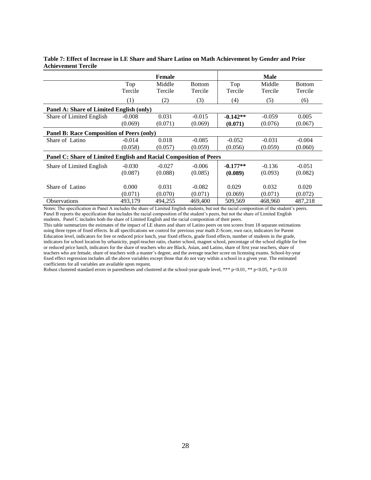|                                                                   |          | <b>Female</b> |               |            | <b>Male</b> |               |  |  |
|-------------------------------------------------------------------|----------|---------------|---------------|------------|-------------|---------------|--|--|
|                                                                   | Top      | Middle        | <b>Bottom</b> | Top        | Middle      | <b>Bottom</b> |  |  |
|                                                                   | Tercile  | Tercile       | Tercile       | Tercile    | Tercile     | Tercile       |  |  |
|                                                                   | (1)      | (2)           | (3)           | (4)        | (5)         | (6)           |  |  |
| Panel A: Share of Limited English (only)                          |          |               |               |            |             |               |  |  |
| Share of Limited English                                          | $-0.008$ | 0.031         | $-0.015$      | $-0.142**$ | $-0.059$    | 0.005         |  |  |
|                                                                   | (0.069)  | (0.071)       | (0.069)       | (0.071)    | (0.076)     | (0.067)       |  |  |
| <b>Panel B: Race Composition of Peers (only)</b>                  |          |               |               |            |             |               |  |  |
| Share of Latino                                                   | $-0.014$ | 0.018         | $-0.085$      | $-0.052$   | $-0.031$    | $-0.004$      |  |  |
|                                                                   | (0.058)  | (0.057)       | (0.059)       | (0.056)    | (0.059)     | (0.060)       |  |  |
| Panel C: Share of Limited English and Racial Composition of Peers |          |               |               |            |             |               |  |  |
| Share of Limited English                                          | $-0.030$ | $-0.027$      | $-0.006$      | $-0.177**$ | $-0.136$    | $-0.051$      |  |  |
|                                                                   | (0.087)  | (0.088)       | (0.085)       | (0.089)    | (0.093)     | (0.082)       |  |  |
|                                                                   |          |               |               |            |             |               |  |  |
| Share of Latino                                                   | 0.000    | 0.031         | $-0.082$      | 0.029      | 0.032       | 0.020         |  |  |
|                                                                   | (0.071)  | (0.070)       | (0.071)       | (0.069)    | (0.071)     | (0.072)       |  |  |
| <b>Observations</b>                                               | 493,179  | 494,255       | 469,400       | 509,569    | 468,960     | 487,218       |  |  |

#### **Table 7: Effect of Increase in LE Share and Share Latino on Math Achievement by Gender and Prior Achievement Tercile**

Notes: The specification in Panel A includes the share of Limited English students, but not the racial composition of the student's peers. Panel B reports the specification that includes the racial composition of the student's peers, but not the share of Limited English students. Panel C includes both the share of Limited English and the racial composition of their peers.

This table summarizes the estimates of the impact of LE shares and share of Latino peers on test scores from 18 separate estimations using three types of fixed effects. In all specifications we control for previous year math Z-Score, own race, indicators for Parent Education level, indicators for free or reduced price lunch, year fixed effects, grade fixed effects, number of students in the grade, indicators for school location by urbanicity, pupil-teacher ratio, charter school, magnet school, percentage of the school eligible for free or reduced price lunch, indicators for the share of teachers who are Black, Asian, and Latino, share of first year teachers, share of teachers who are female, share of teachers with a master's degree, and the average teacher score on licensing exams. School-by-year fixed effect regression includes all the above variables except those that do not vary within a school in a given year. The estimated coefficients for all variables are available upon request.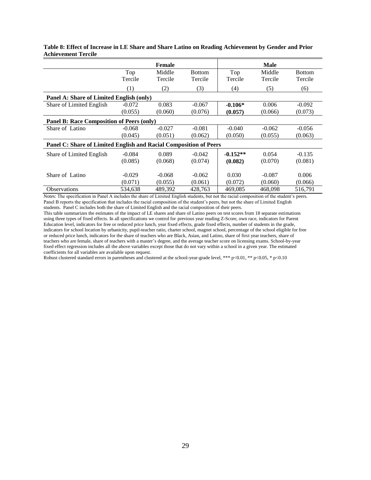|                                                                   |          | Female   |               |            | <b>Male</b> |               |  |  |  |
|-------------------------------------------------------------------|----------|----------|---------------|------------|-------------|---------------|--|--|--|
|                                                                   | Top      | Middle   | <b>Bottom</b> | Top        | Middle      | <b>Bottom</b> |  |  |  |
|                                                                   | Tercile  | Tercile  | Tercile       | Tercile    | Tercile     | Tercile       |  |  |  |
|                                                                   | (1)      | (2)      | (3)           | (4)        | (5)         | (6)           |  |  |  |
| Panel A: Share of Limited English (only)                          |          |          |               |            |             |               |  |  |  |
| Share of Limited English                                          | $-0.072$ | 0.083    | $-0.067$      | $-0.106*$  | 0.006       | $-0.092$      |  |  |  |
|                                                                   | (0.055)  | (0.060)  | (0.076)       | (0.057)    | (0.066)     | (0.073)       |  |  |  |
| <b>Panel B: Race Composition of Peers (only)</b>                  |          |          |               |            |             |               |  |  |  |
| Share of Latino                                                   | $-0.068$ | $-0.027$ | $-0.081$      | $-0.040$   | $-0.062$    | $-0.056$      |  |  |  |
|                                                                   | (0.045)  | (0.051)  | (0.062)       | (0.050)    | (0.055)     | (0.063)       |  |  |  |
| Panel C: Share of Limited English and Racial Composition of Peers |          |          |               |            |             |               |  |  |  |
| Share of Limited English                                          | $-0.084$ | 0.089    | $-0.042$      | $-0.152**$ | 0.054       | $-0.135$      |  |  |  |
|                                                                   | (0.085)  | (0.068)  | (0.074)       | (0.082)    | (0.070)     | (0.081)       |  |  |  |
|                                                                   |          |          |               |            |             |               |  |  |  |
| Share of Latino                                                   | $-0.029$ | $-0.068$ | $-0.062$      | 0.030      | $-0.087$    | 0.006         |  |  |  |
|                                                                   | (0.071)  | (0.055)  | (0.061)       | (0.072)    | (0.060)     | (0.066)       |  |  |  |
| <b>Observations</b>                                               | 534,638  | 489,392  | 428,763       | 469,085    | 468,098     | 516,791       |  |  |  |

**Table 8: Effect of Increase in LE Share and Share Latino on Reading Achievement by Gender and Prior Achievement Tercile**

This table summarizes the estimates of the impact of LE shares and share of Latino peers on test scores from 18 separate estimations using three types of fixed effects. In all specifications we control for previous year reading Z-Score, own race, indicators for Parent Education level, indicators for free or reduced price lunch, year fixed effects, grade fixed effects, number of students in the grade, indicators for school location by urbanicity, pupil-teacher ratio, charter school, magnet school, percentage of the school eligible for free or reduced price lunch, indicators for the share of teachers who are Black, Asian, and Latino, share of first year teachers, share of teachers who are female, share of teachers with a master's degree, and the average teacher score on licensing exams. School-by-year fixed effect regression includes all the above variables except those that do not vary within a school in a given year. The estimated coefficients for all variables are available upon request.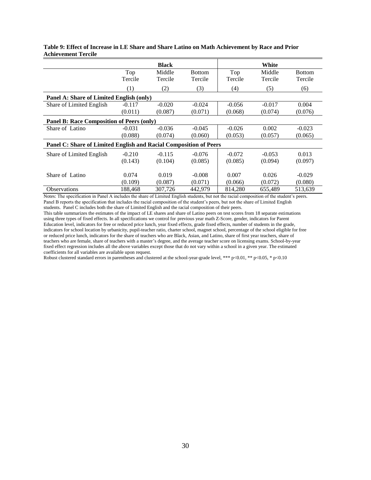|                                                                   |          | <b>Black</b> |               |          | White    |               |  |  |  |
|-------------------------------------------------------------------|----------|--------------|---------------|----------|----------|---------------|--|--|--|
|                                                                   | Top      | Middle       | <b>Bottom</b> | Top      | Middle   | <b>Bottom</b> |  |  |  |
|                                                                   | Tercile  | Tercile      | Tercile       | Tercile  | Tercile  | Tercile       |  |  |  |
|                                                                   | (1)      | (2)          | (3)           | (4)      | (5)      | (6)           |  |  |  |
| Panel A: Share of Limited English (only)                          |          |              |               |          |          |               |  |  |  |
| Share of Limited English                                          | $-0.117$ | $-0.020$     | $-0.024$      | $-0.056$ | $-0.017$ | 0.004         |  |  |  |
|                                                                   | (0.011)  | (0.087)      | (0.071)       | (0.068)  | (0.074)  | (0.076)       |  |  |  |
| <b>Panel B: Race Composition of Peers (only)</b>                  |          |              |               |          |          |               |  |  |  |
| Share of Latino                                                   | $-0.031$ | $-0.036$     | $-0.045$      | $-0.026$ | 0.002    | $-0.023$      |  |  |  |
|                                                                   | (0.088)  | (0.074)      | (0.060)       | (0.053)  | (0.057)  | (0.065)       |  |  |  |
| Panel C: Share of Limited English and Racial Composition of Peers |          |              |               |          |          |               |  |  |  |
| Share of Limited English                                          | $-0.210$ | $-0.115$     | $-0.076$      | $-0.072$ | $-0.053$ | 0.013         |  |  |  |
|                                                                   | (0.143)  | (0.104)      | (0.085)       | (0.085)  | (0.094)  | (0.097)       |  |  |  |
|                                                                   |          |              |               |          |          |               |  |  |  |
| Share of Latino                                                   | 0.074    | 0.019        | $-0.008$      | 0.007    | 0.026    | $-0.029$      |  |  |  |
|                                                                   | (0.109)  | (0.087)      | (0.071)       | (0.066)  | (0.072)  | (0.080)       |  |  |  |
| <b>Observations</b>                                               | 188,468  | 307,726      | 442,979       | 814,280  | 655,489  | 513,639       |  |  |  |

#### **Table 9: Effect of Increase in LE Share and Share Latino on Math Achievement by Race and Prior Achievement Tercile**

Notes: The specification in Panel A includes the share of Limited English students, but not the racial composition of the student's peers. Panel B reports the specification that includes the racial composition of the student's peers, but not the share of Limited English students. Panel C includes both the share of Limited English and the racial composition of their peers.

This table summarizes the estimates of the impact of LE shares and share of Latino peers on test scores from 18 separate estimations using three types of fixed effects. In all specifications we control for previous year math Z-Score, gender, indicators for Parent Education level, indicators for free or reduced price lunch, year fixed effects, grade fixed effects, number of students in the grade, indicators for school location by urbanicity, pupil-teacher ratio, charter school, magnet school, percentage of the school eligible for free or reduced price lunch, indicators for the share of teachers who are Black, Asian, and Latino, share of first year teachers, share of teachers who are female, share of teachers with a master's degree, and the average teacher score on licensing exams. School-by-year fixed effect regression includes all the above variables except those that do not vary within a school in a given year. The estimated coefficients for all variables are available upon request.